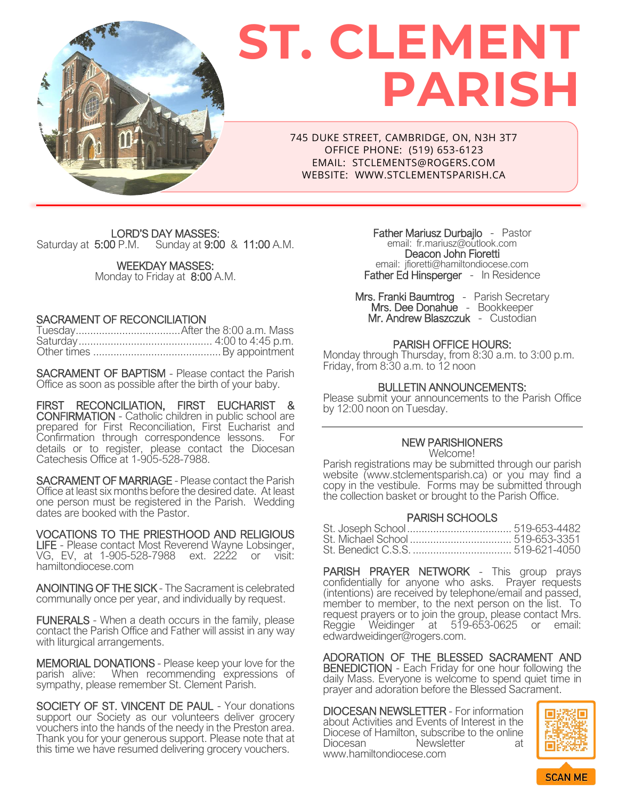

# **ST. CLEMENT PARISH**

745 DUKE STREET, CAMBRIDGE, ON, N3H 3T7 OFFICE PHONE: (519) 653-6123 EMAIL: STCLEMENTS@ROGERS.COM WEBSITE: WWW.STCLEMENTSPARISH.CA

LORD'S DAY MASSES:<br>Saturday at 5:00 P.M. Sunday at 9:00 Sunday at 9:00 & 11:00 A.M.

> WEEKDAY MASSES: Monday to Friday at 8:00 A.M.

## SACRAMENT OF RECONCILIATION

SACRAMENT OF BAPTISM - Please contact the Parish Office as soon as possible after the birth of your baby.

FIRST RECONCILIATION, FIRST EUCHARIST & CONFIRMATION - Catholic children in public school are prepared for First Reconciliation, First Eucharist and Confirmation through correspondence lessons. For details or to register, please contact the Diocesan Catechesis Office at 1-905-528-7988.

SACRAMENT OF MARRIAGE - Please contact the Parish Office at least six months before the desired date. At least one person must be registered in the Parish. Wedding dates are booked with the Pastor.

VOCATIONS TO THE PRIESTHOOD AND RELIGIOUS LIFE - Please contact Most Reverend Wayne Lobsinger, VG, EV, at 1-905-528-7988 ext. 2222 or visit: [hamiltondiocese.com](https://hamiltondiocese.com/vocations/)

ANOINTING OF THE SICK - The Sacrament is celebrated communally once per year, and individually by request.

FUNERALS - When a death occurs in the family, please contact the Parish Office and Father will assist in any way with liturgical arrangements.

MEMORIAL DONATIONS - Please keep your love for the parish alive: When recommending expressions of sympathy, please remember St. Clement Parish.

SOCIETY OF ST. VINCENT DE PAUL - Your donations support our Society as our volunteers deliver grocery vouchers into the hands of the needy in the Preston area. Thank you for your generous support. Please note that at this time we have resumed delivering grocery vouchers.

Father Mariusz Durbajlo - Pastor email: [fr.mariusz@outlook.com](mailto:fr.mariusz@outlook.com) Deacon John Fioretti email: jfioretti@hamiltondiocese.com Father Ed Hinsperger - In Residence

Mrs. Franki Baumtrog - Parish Secretary Mrs. Dee Donahue - Bookkeeper Mr. Andrew Blaszczuk - Custodian

# PARISH OFFICE HOURS:

Monday through Thursday, from 8:30 a.m. to 3:00 p.m. Friday, from  $8:30$  a.m. to  $12$  noon

#### BULLETIN ANNOUNCEMENTS:

Please submit your announcements to the Parish Office by 12:00 noon on Tuesday.

# NEW PARISHIONERS

Welcome! Parish registrations may be submitted through our parish website [\(www.stclementsparish.ca\)](http://www.stclementsparish.ca/) or you may find a copy in the vestibule. Forms may be submitted through the collection basket or brought to the Parish Office.

#### PARISH SCHOOLS

PARISH PRAYER NETWORK - This group prays confidentially for anyone who asks. Prayer requests (intentions) are received by telephone/email and passed, member to member, to the next person on the list. To request prayers or to join the group, please contact Mrs. Reggie Weidinger at 519-653-0625 or email: edwardweidinger@rogers.com.

ADORATION OF THE BLESSED SACRAMENT AND BENEDICTION - Each Friday for one hour following the daily Mass. Everyone is welcome to spend quiet time in prayer and adoration before the Blessed Sacrament.

DIOCESAN NEWSLETTER - For information about Activities and Events of Interest in the Diocese of Hamilton, subscribe to the online<br>Diocesan Mewsletter at Newsletter at www.hamiltondiocese.com

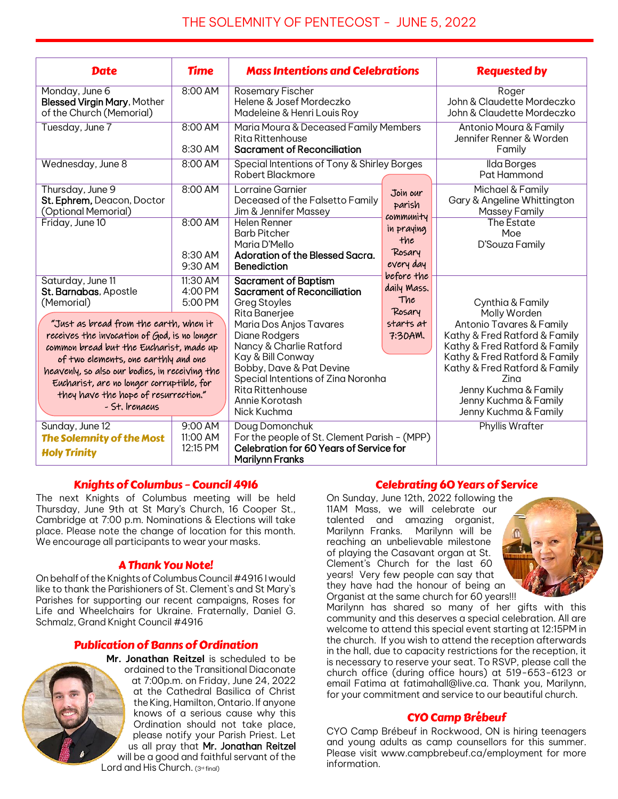# THE SOLEMNITY OF PENTECOST - JUNE 5, 2022

| <b>Date</b>                                                                                                                                                                                                                                                                                                                        | <b>Time</b>                     | <b>Mass Intentions and Celebrations</b>                                                                                                                                                                                          |                                                                                                                           | <b>Requested by</b>                                                                                                                                                                                                                                             |
|------------------------------------------------------------------------------------------------------------------------------------------------------------------------------------------------------------------------------------------------------------------------------------------------------------------------------------|---------------------------------|----------------------------------------------------------------------------------------------------------------------------------------------------------------------------------------------------------------------------------|---------------------------------------------------------------------------------------------------------------------------|-----------------------------------------------------------------------------------------------------------------------------------------------------------------------------------------------------------------------------------------------------------------|
| Monday, June 6<br><b>Blessed Virgin Mary, Mother</b><br>of the Church (Memorial)                                                                                                                                                                                                                                                   | 8:00 AM                         | Rosemary Fischer<br>Helene & Josef Mordeczko<br>Madeleine & Henri Louis Roy                                                                                                                                                      |                                                                                                                           | Roger<br>John & Claudette Mordeczko<br>John & Claudette Mordeczko                                                                                                                                                                                               |
| Tuesday, June 7                                                                                                                                                                                                                                                                                                                    | 8:00 AM<br>8:30 AM              | Maria Moura & Deceased Family Members<br>Rita Rittenhouse<br><b>Sacrament of Reconciliation</b>                                                                                                                                  |                                                                                                                           | Antonio Moura & Family<br>Jennifer Renner & Worden<br>Family                                                                                                                                                                                                    |
| Wednesday, June 8                                                                                                                                                                                                                                                                                                                  | 8:00 AM                         | Special Intentions of Tony & Shirley Borges<br>Robert Blackmore                                                                                                                                                                  |                                                                                                                           | Ilda Borges<br>Pat Hammond                                                                                                                                                                                                                                      |
| Thursday, June 9<br>St. Ephrem, Deacon, Doctor<br>(Optional Memorial)                                                                                                                                                                                                                                                              | 8:00 AM                         | Lorraine Garnier<br>Deceased of the Falsetto Family<br>Jim & Jennifer Massey                                                                                                                                                     | Join our<br>parish<br>community<br>in praying<br>the<br>Rosary<br>every day<br>before the<br>daily Mass.<br>The<br>Rosary | Michael & Family<br>Gary & Angeline Whittington<br>Massey Family                                                                                                                                                                                                |
| Friday, June 10                                                                                                                                                                                                                                                                                                                    | 8:00 AM<br>8:30 AM<br>9:30 AM   | Helen Renner<br><b>Barb Pitcher</b><br>Maria D'Mello<br>Adoration of the Blessed Sacra.<br><b>Benediction</b>                                                                                                                    |                                                                                                                           | The Estate<br>Moe<br>D'Souza Family                                                                                                                                                                                                                             |
| Saturday, June 11<br>St. Barnabas, Apostle<br>(Memorial)                                                                                                                                                                                                                                                                           | 11:30 AM<br>4:00 PM<br>5:00 PM  | <b>Sacrament of Baptism</b><br><b>Sacrament of Reconciliation</b><br>Greg Stoyles                                                                                                                                                |                                                                                                                           | Cynthia & Family                                                                                                                                                                                                                                                |
| "Just as bread from the earth, when it<br>receives the invocation of God, is no longer<br>common bread but the Eucharist, made up<br>of two elements, one earthly and one<br>heavenly, so also our bodies, in receiving the<br>Eucharist, are no longer corruptible, for<br>they have the hope of resurrection."<br>- St. Irenaeus |                                 | Rita Banerjee<br>Maria Dos Anjos Tavares<br>Diane Rodgers<br>Nancy & Charlie Ratford<br>Kay & Bill Conway<br>Bobby, Dave & Pat Devine<br>Special Intentions of Zina Noronha<br>Rita Rittenhouse<br>Annie Korotash<br>Nick Kuchma | starts at<br>7:30AM.                                                                                                      | Molly Worden<br>Antonio Tavares & Family<br>Kathy & Fred Ratford & Family<br>Kathy & Fred Ratford & Family<br>Kathy & Fred Ratford & Family<br>Kathy & Fred Ratford & Family<br>Zina<br>Jenny Kuchma & Family<br>Jenny Kuchma & Family<br>Jenny Kuchma & Family |
| Sunday, June 12<br>The Solemnity of the Most<br><b>Holy Trinity</b>                                                                                                                                                                                                                                                                | 9:00 AM<br>11:00 AM<br>12:15 PM | Doug Domonchuk<br>For the people of St. Clement Parish - (MPP)<br><b>Celebration for 60 Years of Service for</b><br><b>Marilynn Franks</b>                                                                                       |                                                                                                                           | Phyllis Wrafter                                                                                                                                                                                                                                                 |

## Knights of Columbus – Council 4916

The next Knights of Columbus meeting will be held Thursday, June 9th at St Mary's Church, 16 Cooper St., Cambridge at 7:00 p.m. Nominations & Elections will take place. Please note the change of location for this month. We encourage all participants to wear your masks.

## A Thank You Note!

On behalf of the Knights of Columbus Council #4916 I would like to thank the Parishioners of St. Clement`s and St Mary`s Parishes for supporting our recent campaigns, Roses for Life and Wheelchairs for Ukraine. Fraternally, Daniel G. Schmalz, Grand Knight Council #4916

## Publication of Banns of Ordination



**Mr. Jonathan Reitzel** is scheduled to be ordained to the Transitional Diaconate at 7:00p.m. on Friday, June 24, 2022 at the Cathedral Basilica of Christ the King, Hamilton, Ontario. If anyone knows of a serious cause why this Ordination should not take place, please notify your Parish Priest. Let us all pray that Mr. Jonathan Reitzel will be a good and faithful servant of the Lord and His Church.  $(3^{rd}$  final)

#### Celebrating 60 Years of Service

On Sunday, June 12th, 2022 following the 11AM Mass, we will celebrate our talented and amazing organist, Marilynn Franks. Marilynn will be reaching an unbelievable milestone of playing the Casavant organ at St. Clement's Church for the last 60 years! Very few people can say that they have had the honour of being an Organist at the same church for 60 years!!!



Marilynn has shared so many of her gifts with this community and this deserves a special celebration. All are welcome to attend this special event starting at 12:15PM in the church. If you wish to attend the reception afterwards in the hall, due to capacity restrictions for the reception, it is necessary to reserve your seat. To RSVP, please call the church office (during office hours) at 519-653-6123 or email Fatima at fatimahall@live.ca. Thank you, Marilynn, for your commitment and service to our beautiful church.

#### CYO Camp Brébeuf

CYO Camp Brébeuf in Rockwood, ON is hiring teenagers and young adults as camp counsellors for this summer. Please visit www.campbrebeuf.ca/employment for more information.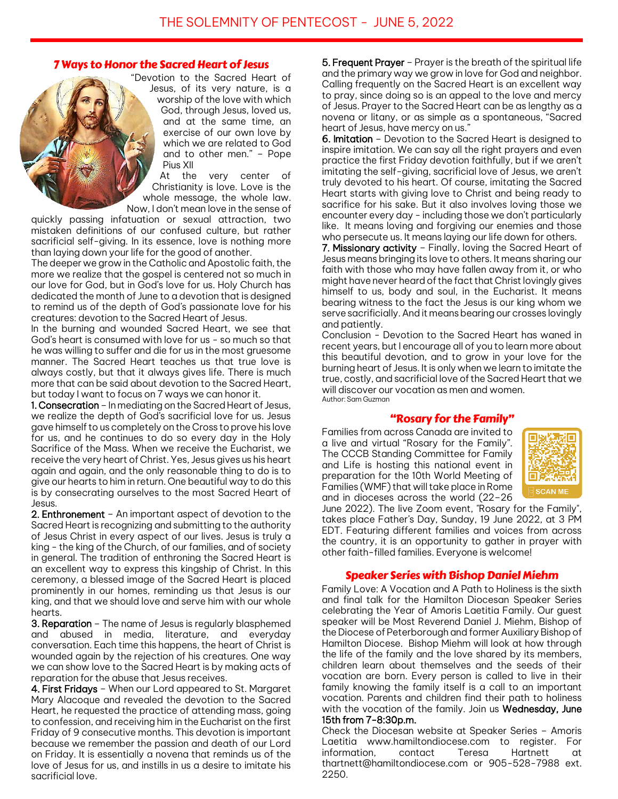## 7 Ways to Honor the Sacred Heart of Jesus

"Devotion to the Sacred Heart of Jesus, of its very nature, is a worship of the love with which God, through Jesus, loved us, and at the same time, an exercise of our own love by which we are related to God and to other men." – Pope Pius XII

At the very center of Christianity is love. Love is the whole message, the whole law. Now, I don't mean love in the sense of

quickly passing infatuation or sexual attraction, two mistaken definitions of our confused culture, but rather sacrificial self-giving. In its essence, love is nothing more than laying down your life for the good of another.

The deeper we grow in the Catholic and Apostolic faith, the more we realize that the gospel is centered not so much in our love for God, but in God's love for us. Holy Church has dedicated the month of June to a devotion that is designed to remind us of the depth of God's passionate love for his creatures: devotion to the Sacred Heart of Jesus.

In the burning and wounded Sacred Heart, we see that God's heart is consumed with love for us - so much so that he was willing to suffer and die for us in the most gruesome manner. The Sacred Heart teaches us that true love is always costly, but that it always gives life. There is much more that can be said about devotion to the Sacred Heart, but today I want to focus on 7 ways we can honor it.

1. Consecration - In mediating on the Sacred Heart of Jesus, we realize the depth of God's sacrificial love for us. Jesus gave himself to us completely on the Cross to prove his love for us, and he continues to do so every day in the Holy Sacrifice of the Mass. When we receive the Eucharist, we receive the very heart of Christ. Yes, Jesus gives us his heart again and again, and the only reasonable thing to do is to give our hearts to him in return. One beautiful way to do this is by consecrating ourselves to the most Sacred Heart of Jesus.

2. Enthronement – An important aspect of devotion to the Sacred Heart is recognizing and submitting to the authority of Jesus Christ in every aspect of our lives. Jesus is truly a king - the king of the Church, of our families, and of society in general. The tradition of enthroning the Sacred Heart is an excellent way to express this kingship of Christ. In this ceremony, a blessed image of the Sacred Heart is placed prominently in our homes, reminding us that Jesus is our king, and that we should love and serve him with our whole hearts.

**3. Reparation** – The name of Jesus is regularly blasphemed<br>and abused in media, literature, and evervdav abused in media, literature, and everyday conversation. Each time this happens, the heart of Christ is wounded again by the rejection of his creatures. One way we can show love to the Sacred Heart is by making acts of reparation for the abuse that Jesus receives.

4. First Fridays - When our Lord appeared to St. Margaret Mary Alacoque and revealed the devotion to the Sacred Heart, he requested the practice of attending mass, going to confession, and receiving him in the Eucharist on the first Friday of 9 consecutive months. This devotion is important because we remember the passion and death of our Lord on Friday. It is essentially a novena that reminds us of the love of Jesus for us, and instills in us a desire to imitate his sacrificial love.

5. Frequent Prayer – Prayer is the breath of the spiritual life and the primary way we grow in love for God and neighbor. Calling frequently on the Sacred Heart is an excellent way to pray, since doing so is an appeal to the love and mercy of Jesus. Prayer to the Sacred Heart can be as lengthy as a novena or litany, or as simple as a spontaneous, "Sacred heart of Jesus, have mercy on us."

6. Imitation – Devotion to the Sacred Heart is designed to inspire imitation. We can say all the right prayers and even practice the first Friday devotion faithfully, but if we aren't imitating the self-giving, sacrificial love of Jesus, we aren't truly devoted to his heart. Of course, imitating the Sacred Heart starts with giving love to Christ and being ready to sacrifice for his sake. But it also involves loving those we encounter every day - including those we don't particularly like. It means loving and forgiving our enemies and those who persecute us. It means laying our life down for others.

7. Missionary activity – Finally, loving the Sacred Heart of Jesus means bringing its love to others. It means sharing our faith with those who may have fallen away from it, or who might have never heard of the fact that Christ lovingly gives himself to us, body and soul, in the Eucharist. It means bearing witness to the fact the Jesus is our king whom we serve sacrificially. And it means bearing our crosses lovingly and patiently.

Conclusion - Devotion to the Sacred Heart has waned in recent years, but I encourage all of you to learn more about this beautiful devotion, and to grow in your love for the burning heart of Jesus. It is only when we learn to imitate the true, costly, and sacrificial love of the Sacred Heart that we will discover our vocation as men and women. Author: Sam Guzman

## "Rosary for the Family"

Families from across Canada are invited to a live and virtual "Rosary for the Family". The CCCB Standing Committee for Family and Life is hosting this national event in preparation for the 10th World Meeting of Families (WMF) that will take place in Rome and in dioceses across the world (22–26



June 2022). The live Zoom event, "Rosary for the Family", takes place Father's Day, Sunday, 19 June 2022, at 3 PM EDT. Featuring different families and voices from across the country, it is an opportunity to gather in prayer with other faith-filled families. Everyone is welcome!

# Speaker Series with Bishop Daniel Miehm

Family Love: A Vocation and A Path to Holiness is the sixth and final talk for the Hamilton Diocesan Speaker Series celebrating the Year of Amoris Laetitia Family. Our guest speaker will be Most Reverend Daniel J. Miehm, Bishop of the Diocese of Peterborough and former Auxiliary Bishop of Hamilton Diocese. Bishop Miehm will look at how through the life of the family and the love shared by its members, children learn about themselves and the seeds of their vocation are born. Every person is called to live in their family knowing the family itself is a call to an important vocation. Parents and children find their path to holiness with the vocation of the family. Join us Wednesday, June 15th from 7-8:30p.m.

Check the Diocesan website at Speaker Series – Amoris Laetitia www.hamiltondiocese.com to register. For information, contact Teresa Hartnett at thartnett@hamiltondiocese.com or 905-528-7988 ext. 2250.